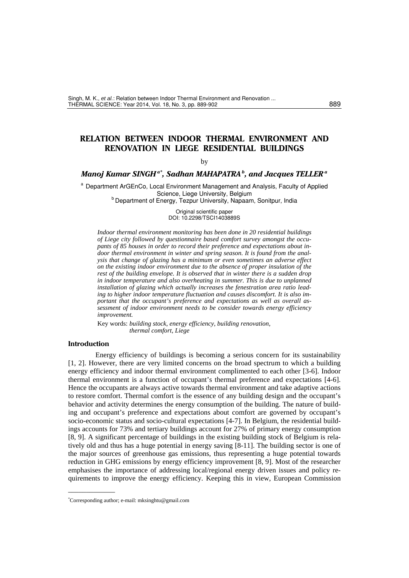# **RELATION BETWEEN INDOOR THERMAL ENVIRONMENT AND RENOVATION IN LIEGE RESIDENTIAL BUILDINGS**

#### by

### *Manoj Kumar SINGH a\*, Sadhan MAHAPATRA b, and Jacques TELLER a*

<sup>a</sup> Department ArGEnCo, Local Environment Management and Analysis, Faculty of Applied<br>Science, Liege University, Belgium <sup>b</sup> Department of Energy, Tezpur University, Napaam, Sonitpur, India

> Original scientific paper DOI: 10.2298/TSCI1403889S

*Indoor thermal environment monitoring has been done in 20 residential buildings of Liege city followed by questionnaire based comfort survey amongst the occupants of 85 houses in order to record their preference and expectations about indoor thermal environment in winter and spring season. It is found from the analysis that change of glazing has a minimum or even sometimes an adverse effect on the existing indoor environment due to the absence of proper insulation of the rest of the building envelope. It is observed that in winter there is a sudden drop in indoor temperature and also overheating in summer. This is due to unplanned installation of glazing which actually increases the fenestration area ratio leading to higher indoor temperature fluctuation and causes discomfort. It is also important that the occupant's preference and expectations as well as overall assessment of indoor environment needs to be consider towards energy efficiency improvement.* 

Key words: *building stock, energy efficiency, building renovation, thermal comfort, Liege*

# **Introduction**

–––––––––––––

Energy efficiency of buildings is becoming a serious concern for its sustainability [1, 2]. However, there are very limited concerns on the broad spectrum to which a building energy efficiency and indoor thermal environment complimented to each other [3-6]. Indoor thermal environment is a function of occupant's thermal preference and expectations [4-6]. Hence the occupants are always active towards thermal environment and take adaptive actions to restore comfort. Thermal comfort is the essence of any building design and the occupant's behavior and activity determines the energy consumption of the building. The nature of building and occupant's preference and expectations about comfort are governed by occupant's socio-economic status and socio-cultural expectations [4-7]. In Belgium, the residential buildings accounts for 73% and tertiary buildings account for 27% of primary energy consumption [8, 9]. A significant percentage of buildings in the existing building stock of Belgium is relatively old and thus has a huge potential in energy saving [8-11]. The building sector is one of the major sources of greenhouse gas emissions, thus representing a huge potential towards reduction in GHG emissions by energy efficiency improvement [8, 9]. Most of the researcher emphasises the importance of addressing local/regional energy driven issues and policy requirements to improve the energy efficiency. Keeping this in view, European Commission

<sup>\*</sup> Corresponding author; e-mail: mksinghtu@gmail.com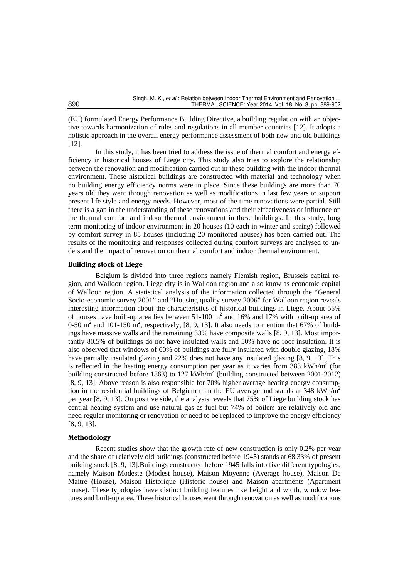(EU) formulated Energy Performance Building Directive, a building regulation with an objective towards harmonization of rules and regulations in all member countries [12]. It adopts a holistic approach in the overall energy performance assessment of both new and old buildings [12].

In this study, it has been tried to address the issue of thermal comfort and energy efficiency in historical houses of Liege city. This study also tries to explore the relationship between the renovation and modification carried out in these building with the indoor thermal environment. These historical buildings are constructed with material and technology when no building energy efficiency norms were in place. Since these buildings are more than 70 years old they went through renovation as well as modifications in last few years to support present life style and energy needs. However, most of the time renovations were partial. Still there is a gap in the understanding of these renovations and their effectiveness or influence on the thermal comfort and indoor thermal environment in these buildings. In this study, long term monitoring of indoor environment in 20 houses (10 each in winter and spring) followed by comfort survey in 85 houses (including 20 monitored houses) has been carried out. The results of the monitoring and responses collected during comfort surveys are analysed to understand the impact of renovation on thermal comfort and indoor thermal environment.

### **Building stock of Liege**

Belgium is divided into three regions namely Flemish region, Brussels capital region, and Walloon region. Liege city is in Walloon region and also know as economic capital of Walloon region. A statistical analysis of the information collected through the "General Socio-economic survey 2001" and "Housing quality survey 2006" for Walloon region reveals interesting information about the characteristics of historical buildings in Liege. About 55% of houses have built-up area lies between  $51-100 \text{ m}^2$  and  $16\%$  and  $17\%$  with built-up area of 0-50 m<sup>2</sup> and 101-150 m<sup>2</sup>, respectively, [8, 9, 13]. It also needs to mention that 67% of buildings have massive walls and the remaining 33% have composite walls [8, 9, 13]. Most importantly 80.5% of buildings do not have insulated walls and 50% have no roof insulation. It is also observed that windows of 60% of buildings are fully insulated with double glazing, 18% have partially insulated glazing and 22% does not have any insulated glazing [8, 9, 13]. This is reflected in the heating energy consumption per year as it varies from  $383 \text{ kWh/m}^2$  (for building constructed before 1863) to 127 kWh/m<sup>2</sup> (building constructed between 2001-2012) [8, 9, 13]. Above reason is also responsible for 70% higher average heating energy consumption in the residential buildings of Belgium than the EU average and stands at 348 kWh/ $m<sup>2</sup>$ per year [8, 9, 13]. On positive side, the analysis reveals that 75% of Liege building stock has central heating system and use natural gas as fuel but 74% of boilers are relatively old and need regular monitoring or renovation or need to be replaced to improve the energy efficiency [8, 9, 13].

#### **Methodology**

Recent studies show that the growth rate of new construction is only 0.2% per year and the share of relatively old buildings (constructed before 1945) stands at 68.33% of present building stock [8, 9, 13].Buildings constructed before 1945 falls into five different typologies, namely Maison Modeste (Modest house), Maison Moyenne (Average house), Maison De Maitre (House), Maison Historique (Historic house) and Maison apartments (Apartment house). These typologies have distinct building features like height and width, window features and built-up area. These historical houses went through renovation as well as modifications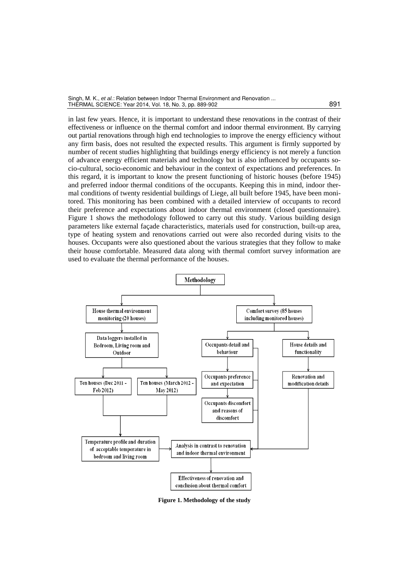| Singh, M. K., et al.: Relation between Indoor Thermal Environment and Renovation |     |
|----------------------------------------------------------------------------------|-----|
| THERMAL SCIENCE: Year 2014, Vol. 18, No. 3, pp. 889-902                          | 891 |

in last few years. Hence, it is important to understand these renovations in the contrast of their effectiveness or influence on the thermal comfort and indoor thermal environment. By carrying out partial renovations through high end technologies to improve the energy efficiency without any firm basis, does not resulted the expected results. This argument is firmly supported by number of recent studies highlighting that buildings energy efficiency is not merely a function of advance energy efficient materials and technology but is also influenced by occupants socio-cultural, socio-economic and behaviour in the context of expectations and preferences. In this regard, it is important to know the present functioning of historic houses (before 1945) and preferred indoor thermal conditions of the occupants. Keeping this in mind, indoor thermal conditions of twenty residential buildings of Liege, all built before 1945, have been monitored. This monitoring has been combined with a detailed interview of occupants to record their preference and expectations about indoor thermal environment (closed questionnaire). Figure 1 shows the methodology followed to carry out this study. Various building design parameters like external façade characteristics, materials used for construction, built-up area, type of heating system and renovations carried out were also recorded during visits to the houses. Occupants were also questioned about the various strategies that they follow to make their house comfortable. Measured data along with thermal comfort survey information are used to evaluate the thermal performance of the houses.



**Figure 1. Methodology of the study**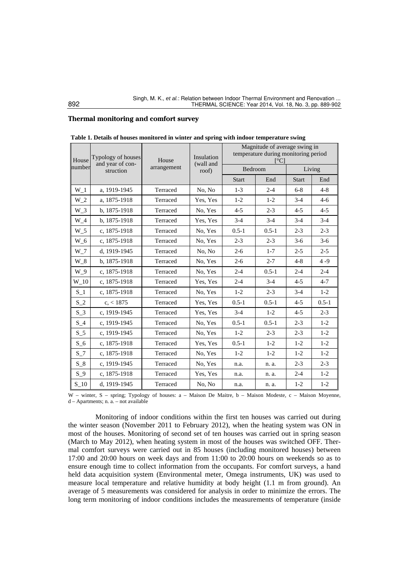### **Thermal monitoring and comfort survey**

| House          | Typology of houses<br>and year of con- | House<br>arrangement | Insulation<br>(wall and<br>roof) | Magnitude of average swing in<br>temperature during monitoring period<br>$\lceil$ °C |           |              |           |
|----------------|----------------------------------------|----------------------|----------------------------------|--------------------------------------------------------------------------------------|-----------|--------------|-----------|
| number         | struction                              |                      |                                  | Bedroom                                                                              |           | Living       |           |
|                |                                        |                      |                                  | <b>Start</b>                                                                         | End       | <b>Start</b> | End       |
| W <sub>1</sub> | a, 1919-1945                           | Terraced             | No, No                           | $1-3$                                                                                | $2 - 4$   | $6 - 8$      | $4 - 8$   |
| $W_2$          | a. 1875-1918                           | Terraced             | Yes, Yes                         | $1-2$                                                                                | $1 - 2$   | $3-4$        | $4-6$     |
| $W_3$          | b. 1875-1918                           | Terraced             | No. Yes                          | $4 - 5$                                                                              | $2 - 3$   | $4 - 5$      | $4 - 5$   |
| $W_4$          | b, 1875-1918                           | Terraced             | Yes, Yes                         | $3-4$                                                                                | $3 - 4$   | $3 - 4$      | $3-4$     |
| $W_5$          | c. 1875-1918                           | Terraced             | No. Yes                          | $0.5 - 1$                                                                            | $0.5 - 1$ | $2 - 3$      | $2 - 3$   |
| $W_6$          | c, 1875-1918                           | Terraced             | No. Yes                          | $2 - 3$                                                                              | $2 - 3$   | $3-6$        | $3-6$     |
| $W_7$          | d. 1919-1945                           | Terraced             | No, No                           | $2 - 6$                                                                              | $1 - 7$   | $2 - 5$      | $2 - 5$   |
| $W_8$          | b, 1875-1918                           | Terraced             | No. Yes                          | $2 - 6$                                                                              | $2 - 7$   | $4 - 8$      | $4 - 9$   |
| W 9            | c, 1875-1918                           | Terraced             | No, Yes                          | $2 - 4$                                                                              | $0.5 - 1$ | $2 - 4$      | $2 - 4$   |
| W 10           | c. 1875-1918                           | Terraced             | Yes, Yes                         | $2 - 4$                                                                              | $3-4$     | $4 - 5$      | $4 - 7$   |
| $S_1$          | c, 1875-1918                           | Terraced             | No. Yes                          | $1-2$                                                                                | $2 - 3$   | $3-4$        | $1-2$     |
| $S_2$          | c, < 1875                              | Terraced             | Yes, Yes                         | $0.5 - 1$                                                                            | $0.5 - 1$ | $4 - 5$      | $0.5 - 1$ |
| $S_3$          | c, 1919-1945                           | Terraced             | Yes, Yes                         | $3-4$                                                                                | $1 - 2$   | $4 - 5$      | $2 - 3$   |
| $S_4$          | c. 1919-1945                           | Terraced             | No. Yes                          | $0.5 - 1$                                                                            | $0.5 - 1$ | $2 - 3$      | $1-2$     |
| $S_{-}5$       | c, 1919-1945                           | Terraced             | No. Yes                          | $1-2$                                                                                | $2 - 3$   | $2 - 3$      | $1-2$     |
| $S_6$          | c, 1875-1918                           | Terraced             | Yes, Yes                         | $0.5 - 1$                                                                            | $1 - 2$   | $1 - 2$      | $1 - 2$   |
| $S_7$          | c, 1875-1918                           | Terraced             | No, Yes                          | $1-2$                                                                                | $1-2$     | $1-2$        | $1-2$     |
| $S_8$          | c, 1919-1945                           | Terraced             | No. Yes                          | n.a.                                                                                 | n. a.     | $2 - 3$      | $2 - 3$   |
| $S_9$          | c, 1875-1918                           | Terraced             | Yes, Yes                         | n.a.                                                                                 | n. a.     | $2 - 4$      | $1-2$     |
| $S_1$ 10       | d, 1919-1945                           | Terraced             | No, No                           | n.a.                                                                                 | n. a.     | $1 - 2$      | $1-2$     |

|  |  |  | Table 1. Details of houses monitored in winter and spring with indoor temperature swing |
|--|--|--|-----------------------------------------------------------------------------------------|
|  |  |  |                                                                                         |

W – winter, S – spring; Typology of houses: a – Maison De Maitre, b – Maison Modeste, c – Maison Moyenne, d – Apartments; n. a. – not available

Monitoring of indoor conditions within the first ten houses was carried out during the winter season (November 2011 to February 2012), when the heating system was ON in most of the houses. Monitoring of second set of ten houses was carried out in spring season (March to May 2012), when heating system in most of the houses was switched OFF. Thermal comfort surveys were carried out in 85 houses (including monitored houses) between 17:00 and 20:00 hours on week days and from 11:00 to 20:00 hours on weekends so as to ensure enough time to collect information from the occupants. For comfort surveys, a hand held data acquisition system (Environmental meter, Omega instruments, UK) was used to measure local temperature and relative humidity at body height (1.1 m from ground). An average of 5 measurements was considered for analysis in order to minimize the errors. The long term monitoring of indoor conditions includes the measurements of temperature (inside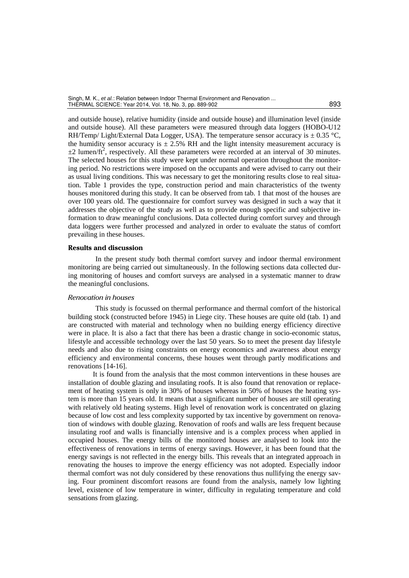and outside house), relative humidity (inside and outside house) and illumination level (inside and outside house). All these parameters were measured through data loggers (HOBO-U12 RH/Temp/ Light/External Data Logger, USA). The temperature sensor accuracy is  $\pm$  0.35 °C, the humidity sensor accuracy is  $\pm 2.5\%$  RH and the light intensity measurement accuracy is  $\pm 2$  lumen/ft<sup>2</sup>, respectively. All these parameters were recorded at an interval of 30 minutes. The selected houses for this study were kept under normal operation throughout the monitoring period. No restrictions were imposed on the occupants and were advised to carry out their as usual living conditions. This was necessary to get the monitoring results close to real situation. Table 1 provides the type, construction period and main characteristics of the twenty houses monitored during this study. It can be observed from tab. 1 that most of the houses are over 100 years old. The questionnaire for comfort survey was designed in such a way that it addresses the objective of the study as well as to provide enough specific and subjective information to draw meaningful conclusions. Data collected during comfort survey and through data loggers were further processed and analyzed in order to evaluate the status of comfort prevailing in these houses.

#### **Results and discussion**

In the present study both thermal comfort survey and indoor thermal environment monitoring are being carried out simultaneously. In the following sections data collected during monitoring of houses and comfort surveys are analysed in a systematic manner to draw the meaningful conclusions.

### *Renovation in houses*

This study is focussed on thermal performance and thermal comfort of the historical building stock (constructed before 1945) in Liege city. These houses are quite old (tab. 1) and are constructed with material and technology when no building energy efficiency directive were in place. It is also a fact that there has been a drastic change in socio-economic status, lifestyle and accessible technology over the last 50 years. So to meet the present day lifestyle needs and also due to rising constraints on energy economics and awareness about energy efficiency and environmental concerns, these houses went through partly modifications and renovations [14-16].

 It is found from the analysis that the most common interventions in these houses are installation of double glazing and insulating roofs. It is also found that renovation or replacement of heating system is only in 30% of houses whereas in 50% of houses the heating system is more than 15 years old. It means that a significant number of houses are still operating with relatively old heating systems. High level of renovation work is concentrated on glazing because of low cost and less complexity supported by tax incentive by government on renovation of windows with double glazing. Renovation of roofs and walls are less frequent because insulating roof and walls is financially intensive and is a complex process when applied in occupied houses. The energy bills of the monitored houses are analysed to look into the effectiveness of renovations in terms of energy savings. However, it has been found that the energy savings is not reflected in the energy bills. This reveals that an integrated approach in renovating the houses to improve the energy efficiency was not adopted. Especially indoor thermal comfort was not duly considered by these renovations thus nullifying the energy saving. Four prominent discomfort reasons are found from the analysis, namely low lighting level, existence of low temperature in winter, difficulty in regulating temperature and cold sensations from glazing.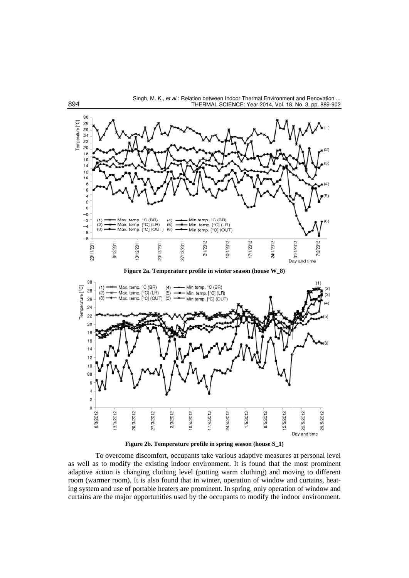

30  $(1)$  $(4)$ <br>(5)<br>(6) Max. temp. °C (BR) Min temp. °C (BR) Temperature [°C]  $(2)$ 28 Max. temp. [°C] (LR) Min. temp. [°C] (LR) 26 Max. temp. [°C] (OUT)  $(3)$ Min temp. [°C] (OUT)  $24$ 22  $20$ 18 16  $14$  $12$  $10$ 80 6 4  $\overline{c}$  $\mathsf{O}\xspace$ 6/3/2012 29/5/2012 13/3/2012 20/3/2012 27/3/2012 3/3/2012 10/4/2012 17/4/2012 1/5/2012 8/5/2012 15/5/2012 22/5/2012 24/4/2012 Day and time

**Figure 2b. Temperature profile in spring season (house S\_1)** 

To overcome discomfort, occupants take various adaptive measures at personal level as well as to modify the existing indoor environment. It is found that the most prominent adaptive action is changing clothing level (putting warm clothing) and moving to different room (warmer room). It is also found that in winter, operation of window and curtains, heating system and use of portable heaters are prominent. In spring, only operation of window and curtains are the major opportunities used by the occupants to modify the indoor environment.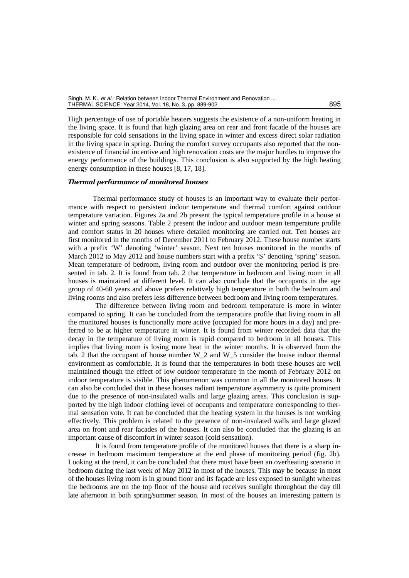High percentage of use of portable heaters suggests the existence of a non-uniform heating in the living space. It is found that high glazing area on rear and front facade of the houses are responsible for cold sensations in the living space in winter and excess direct solar radiation in the living space in spring. During the comfort survey occupants also reported that the nonexistence of financial incentive and high renovation costs are the major hurdles to improve the energy performance of the buildings. This conclusion is also supported by the high heating energy consumption in these houses [8, 17, 18].

#### *Thermal performance of monitored houses*

 Thermal performance study of houses is an important way to evaluate their performance with respect to persistent indoor temperature and thermal comfort against outdoor temperature variation. Figures 2a and 2b present the typical temperature profile in a house at winter and spring seasons. Table 2 present the indoor and outdoor mean temperature profile and comfort status in 20 houses where detailed monitoring are carried out. Ten houses are first monitored in the months of December 2011 to February 2012. These house number starts with a prefix 'W' denoting 'winter' season. Next ten houses monitored in the months of March 2012 to May 2012 and house numbers start with a prefix 'S' denoting 'spring' season. Mean temperature of bedroom, living room and outdoor over the monitoring period is presented in tab. 2. It is found from tab. 2 that temperature in bedroom and living room in all houses is maintained at different level. It can also conclude that the occupants in the age group of 40-60 years and above prefers relatively high temperature in both the bedroom and living rooms and also prefers less difference between bedroom and living room temperatures.

The difference between living room and bedroom temperature is more in winter compared to spring. It can be concluded from the temperature profile that living room in all the monitored houses is functionally more active (occupied for more hours in a day) and preferred to be at higher temperature in winter. It is found from winter recorded data that the decay in the temperature of living room is rapid compared to bedroom in all houses. This implies that living room is losing more heat in the winter months. It is observed from the tab. 2 that the occupant of house number W\_2 and W\_5 consider the house indoor thermal environment as comfortable. It is found that the temperatures in both these houses are well maintained though the effect of low outdoor temperature in the month of February 2012 on indoor temperature is visible. This phenomenon was common in all the monitored houses. It can also be concluded that in these houses radiant temperature asymmetry is quite prominent due to the presence of non-insulated walls and large glazing areas. This conclusion is supported by the high indoor clothing level of occupants and temperature corresponding to thermal sensation vote. It can be concluded that the heating system in the houses is not working effectively. This problem is related to the presence of non-insulated walls and large glazed area on front and rear facades of the houses. It can also be concluded that the glazing is an important cause of discomfort in winter season (cold sensation).

It is found from temperature profile of the monitored houses that there is a sharp increase in bedroom maximum temperature at the end phase of monitoring period (fig. 2b). Looking at the trend, it can be concluded that there must have been an overheating scenario in bedroom during the last week of May 2012 in most of the houses. This may be because in most of the houses living room is in ground floor and its façade are less exposed to sunlight whereas the bedrooms are on the top floor of the house and receives sunlight throughout the day till late afternoon in both spring/summer season. In most of the houses an interesting pattern is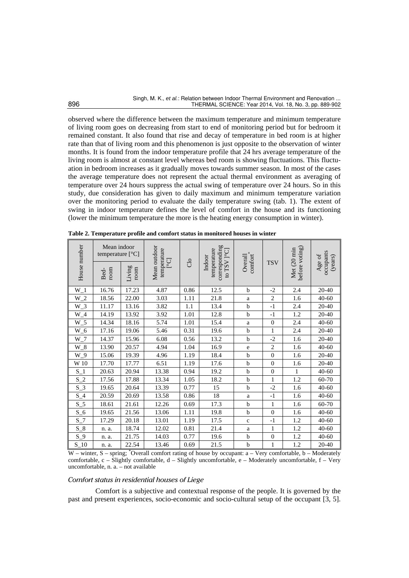observed where the difference between the maximum temperature and minimum temperature of living room goes on decreasing from start to end of monitoring period but for bedroom it remained constant. It also found that rise and decay of temperature in bed room is at higher rate than that of living room and this phenomenon is just opposite to the observation of winter months. It is found from the indoor temperature profile that 24 hrs average temperature of the living room is almost at constant level whereas bed room is showing fluctuations. This fluctuation in bedroom increases as it gradually moves towards summer season. In most of the cases the average temperature does not represent the actual thermal environment as averaging of temperature over 24 hours suppress the actual swing of temperature over 24 hours. So in this study, due consideration has given to daily maximum and minimum temperature variation over the monitoring period to evaluate the daily temperature swing (tab. 1). The extent of swing in indoor temperature defines the level of comfort in the house and its functioning (lower the minimum temperature the more is the heating energy consumption in winter).

|                     | Mean indoor<br>temperature [°C] |                |                                     |      |        |                                                                   |                               |            |                               |                                |  |  |  |  |
|---------------------|---------------------------------|----------------|-------------------------------------|------|--------|-------------------------------------------------------------------|-------------------------------|------------|-------------------------------|--------------------------------|--|--|--|--|
| House number        | room<br>Bed-                    | Living<br>room | Mean outdoor<br>temperature<br>[°C] | Clo  |        | corresponding<br>temperature<br>to TSV <sup>1°</sup> C]<br>Indoor | $\mbox{confort}^*$<br>Overall | <b>TSV</b> | before voting)<br>Met (20 min | occupants<br>Age of<br>(years) |  |  |  |  |
| $W_1$               | 16.76                           | 17.23          | 4.87                                | 0.86 | 12.5   | $\mathbf b$                                                       | $-2$                          | 2.4        | $20 - 40$                     |                                |  |  |  |  |
| $W_2$               | 18.56                           | 22.00          | 3.03                                | 1.11 | 21.8   | a                                                                 | $\mathbf{2}$                  | 1.6        | $40 - 60$                     |                                |  |  |  |  |
| $W_3$               | 11.17                           | 13.16          | 3.82                                | 1.1  | 13.4   | $\mathbf b$                                                       | $-1$                          | 2.4        | $20 - 40$                     |                                |  |  |  |  |
| $W_4$               | 14.19                           | 13.92          | 3.92                                | 1.01 | 12.8   | $\mathbf b$                                                       | $-1$                          | 1.2        | 20-40                         |                                |  |  |  |  |
| $W_5$               | 14.34                           | 18.16          | 5.74                                | 1.01 | 15.4   | $\rm{a}$                                                          | $\boldsymbol{0}$              | 2.4        | 40-60                         |                                |  |  |  |  |
| $W_6$               | 17.16                           | 19.06          | 5.46                                | 0.31 | 19.6   | $\mathbf b$                                                       | $\mathbf{1}$                  | 2.4        | 20-40                         |                                |  |  |  |  |
| $W_7$               | 14.37                           | 15.96          | 6.08                                | 0.56 | 13.2   | $\mathbf b$                                                       | $-2$                          | 1.6        | 20-40                         |                                |  |  |  |  |
| $W_8$               | 13.90                           | 20.57          | 4.94                                | 1.04 | 16.9   | e                                                                 | $\overline{2}$                | 1.6        | $40 - 60$                     |                                |  |  |  |  |
| $W_9$               | 15.06                           | 19.39          | 4.96                                | 1.19 | 18.4   | $\mathbf b$                                                       | $\boldsymbol{0}$              | 1.6        | 20-40                         |                                |  |  |  |  |
| $\ensuremath{W}$ 10 | 17.70                           | 17.77          | 6.51                                | 1.19 | 17.6   | $\mathbf b$                                                       | $\overline{0}$                | 1.6        | 20-40                         |                                |  |  |  |  |
| $S_1$               | 20.63                           | 20.94          | 13.38                               | 0.94 | 19.2   | $\mathbf b$                                                       | $\boldsymbol{0}$              | 1          | $40 - 60$                     |                                |  |  |  |  |
| $S_2$               | 17.56                           | 17.88          | 13.34                               | 1.05 | 18.2   | $\mathbf b$                                                       | $\mathbf{1}$                  | 1.2        | 60-70                         |                                |  |  |  |  |
| $S_3$               | 19.65                           | 20.64          | 13.39                               | 0.77 | 15     | $\mathbf b$                                                       | $-2$                          | 1.6        | $40 - 60$                     |                                |  |  |  |  |
| $S_4$               | 20.59                           | 20.69          | 13.58                               | 0.86 | $18\,$ | $\rm{a}$                                                          | $^{\rm -1}$                   | 1.6        | $40 - 60$                     |                                |  |  |  |  |
| $S_5$               | 18.61                           | 21.61          | 12.26                               | 0.69 | 17.3   | $\mathbf b$                                                       | $\mathbf{1}$                  | 1.6        | 60-70                         |                                |  |  |  |  |
| $S_6$               | 19.65                           | 21.56          | 13.06                               | 1.11 | 19.8   | $\mathbf b$                                                       | $\overline{0}$                | 1.6        | $40 - 60$                     |                                |  |  |  |  |
| $S_7$               | 17.29                           | 20.18          | 13.01                               | 1.19 | 17.5   | $\mathbf c$                                                       | $-1$                          | 1.2        | $40 - 60$                     |                                |  |  |  |  |
| $S_8$               | n. a.                           | 18.74          | 12.02                               | 0.81 | 21.4   | a                                                                 | $\mathbf{1}$                  | 1.2        | $40 - 60$                     |                                |  |  |  |  |
| $S_9$               | n. a.                           | 21.75          | 14.03                               | 0.77 | 19.6   | $\mathbf b$                                                       | $\boldsymbol{0}$              | 1.2        | $40 - 60$                     |                                |  |  |  |  |
| $S_1$ 10            | n. a.                           | 22.54          | 13.46                               | 0.69 | 21.5   | $\mathbf b$                                                       | $\mathbf{1}$                  | 1.2        | 20-40                         |                                |  |  |  |  |

**Table 2. Temperature profile and comfort status in monitored houses in winter** 

W – winter, S – spring; <sup>\*</sup>Overall comfort rating of house by occupant: a – Very comfortable, b – Moderately comfortable, c – Slightly comfortable, d – Slightly uncomfortable, e – Moderately uncomfortable, f – Very uncomfortable, n. a. – not available

# *Comfort status in residential houses of Liege*

Comfort is a subjective and contextual response of the people. It is governed by the past and present experiences, socio-economic and socio-cultural setup of the occupant [3, 5].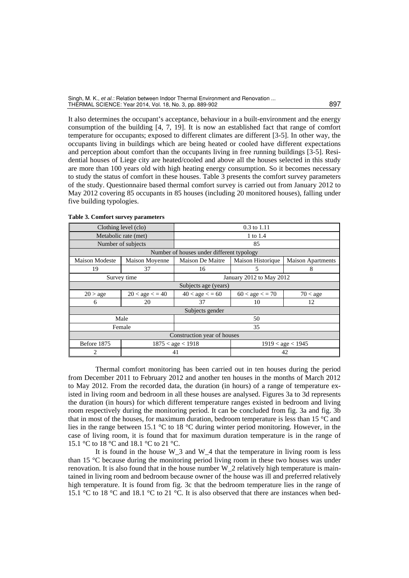It also determines the occupant's acceptance, behaviour in a built-environment and the energy consumption of the building [4, 7, 19]. It is now an established fact that range of comfort temperature for occupants; exposed to different climates are different [3-5]. In other way, the occupants living in buildings which are being heated or cooled have different expectations and perception about comfort than the occupants living in free running buildings [3-5]. Residential houses of Liege city are heated/cooled and above all the houses selected in this study are more than 100 years old with high heating energy consumption. So it becomes necessary to study the status of comfort in these houses. Table 3 presents the comfort survey parameters of the study. Questionnaire based thermal comfort survey is carried out from January 2012 to May 2012 covering 85 occupants in 85 houses (including 20 monitored houses), falling under five building typologies.

|                             | Clothing level (clo) | $0.3$ to 1.11                                               |                          |                          |  |  |  |
|-----------------------------|----------------------|-------------------------------------------------------------|--------------------------|--------------------------|--|--|--|
|                             | Metabolic rate (met) | 1 to 1.4                                                    |                          |                          |  |  |  |
|                             | Number of subjects   |                                                             | 85                       |                          |  |  |  |
|                             |                      | Number of houses under different typology                   |                          |                          |  |  |  |
| <b>Maison Modeste</b>       | Maison Moyenne       | Maison De Maitre                                            | Maison Historique        | <b>Maison Apartments</b> |  |  |  |
| 19                          | 37                   | 16                                                          | 5                        | 8                        |  |  |  |
|                             | Survey time          |                                                             | January 2012 to May 2012 |                          |  |  |  |
|                             | Subjects age (years) |                                                             |                          |                          |  |  |  |
| 20 > age                    | $20 < age < = 40$    | $60 < \text{age} < 70$<br>$40 <$ age $<$ = 60<br>$70 <$ age |                          |                          |  |  |  |
| 6                           | 20                   | 37<br>10<br>12                                              |                          |                          |  |  |  |
|                             | Subjects gender      |                                                             |                          |                          |  |  |  |
|                             | Male                 | 50                                                          |                          |                          |  |  |  |
|                             | Female               | 35                                                          |                          |                          |  |  |  |
| Construction year of houses |                      |                                                             |                          |                          |  |  |  |
| Before 1875                 |                      | $1875 <$ age $< 1918$<br>1919 < age < 1945                  |                          |                          |  |  |  |
| 2                           |                      | 42<br>41                                                    |                          |                          |  |  |  |

**Table 3. Comfort survey parameters** 

Thermal comfort monitoring has been carried out in ten houses during the period from December 2011 to February 2012 and another ten houses in the months of March 2012 to May 2012. From the recorded data, the duration (in hours) of a range of temperature existed in living room and bedroom in all these houses are analysed. Figures 3a to 3d represents the duration (in hours) for which different temperature ranges existed in bedroom and living room respectively during the monitoring period. It can be concluded from fig. 3a and fig. 3b that in most of the houses, for maximum duration, bedroom temperature is less than 15 °C and lies in the range between 15.1 °C to 18 °C during winter period monitoring. However, in the case of living room, it is found that for maximum duration temperature is in the range of 15.1 °C to 18 °C and 18.1 °C to 21 °C.

It is found in the house W\_3 and W\_4 that the temperature in living room is less than 15 °C because during the monitoring period living room in these two houses was under renovation. It is also found that in the house number W\_2 relatively high temperature is maintained in living room and bedroom because owner of the house was ill and preferred relatively high temperature. It is found from fig. 3c that the bedroom temperature lies in the range of 15.1 °C to 18 °C and 18.1 °C to 21 °C. It is also observed that there are instances when bed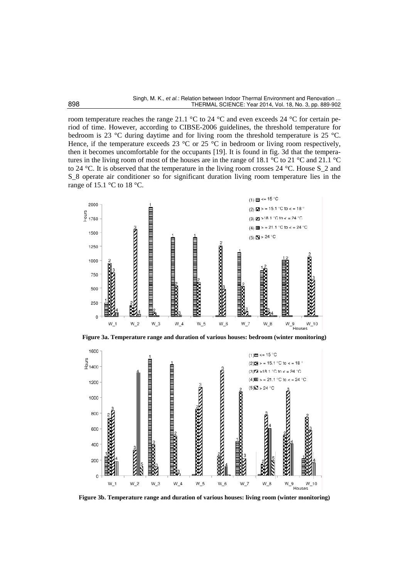room temperature reaches the range 21.1 °C to 24 °C and even exceeds 24 °C for certain period of time. However, according to CIBSE-2006 guidelines, the threshold temperature for bedroom is 23 °C during daytime and for living room the threshold temperature is 25 °C. Hence, if the temperature exceeds 23  $^{\circ}$ C or 25  $^{\circ}$ C in bedroom or living room respectively, then it becomes uncomfortable for the occupants [19]. It is found in fig. 3d that the temperatures in the living room of most of the houses are in the range of 18.1 °C to 21 °C and 21.1 °C to 24 °C. It is observed that the temperature in the living room crosses 24 °C. House S\_2 and S\_8 operate air conditioner so for significant duration living room temperature lies in the range of 15.1  $\degree$ C to 18  $\degree$ C.





**Figure 3b. Temperature range and duration of various houses: living room (winter monitoring)**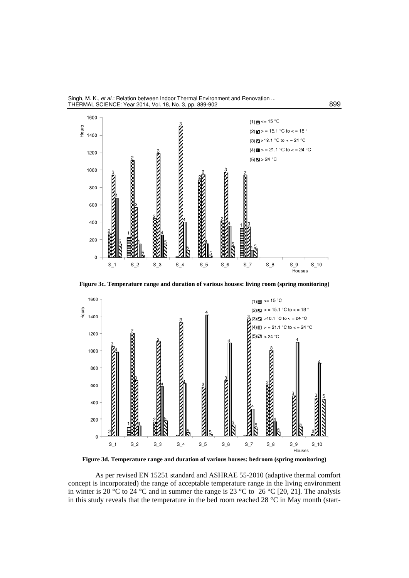



**Figure 3c. Temperature range and duration of various houses: living room (spring monitoring)** 



**Figure 3d. Temperature range and duration of various houses: bedroom (spring monitoring)** 

As per revised EN 15251 standard and ASHRAE 55-2010 (adaptive thermal comfort concept is incorporated) the range of acceptable temperature range in the living environment in winter is 20 °C to 24 °C and in summer the range is 23 °C to 26 °C [20, 21]. The analysis in this study reveals that the temperature in the bed room reached 28  $\degree$ C in May month (start-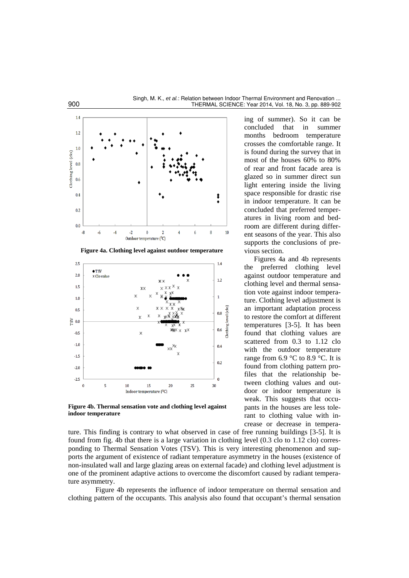



**Figure 4b. Thermal sensation vote and clothing level against indoor temperature** 

ing of summer). So it can be concluded that in summer months bedroom temperature crosses the comfortable range. It is found during the survey that in most of the houses 60% to 80% of rear and front facade area is glazed so in summer direct sun light entering inside the living space responsible for drastic rise in indoor temperature. It can be concluded that preferred temperatures in living room and bedroom are different during different seasons of the year. This also supports the conclusions of previous section.

Figures 4a and 4b represents the preferred clothing level against outdoor temperature and clothing level and thermal sensation vote against indoor temperature. Clothing level adjustment is an important adaptation process to restore the comfort at different temperatures [3-5]. It has been found that clothing values are scattered from 0.3 to 1.12 clo with the outdoor temperature range from 6.9 °C to 8.9 °C. It is found from clothing pattern profiles that the relationship between clothing values and outdoor or indoor temperature is weak. This suggests that occupants in the houses are less tolerant to clothing value with increase or decrease in tempera-

ture. This finding is contrary to what observed in case of free running buildings [3-5]. It is found from fig. 4b that there is a large variation in clothing level (0.3 clo to 1.12 clo) corresponding to Thermal Sensation Votes (TSV). This is very interesting phenomenon and supports the argument of existence of radiant temperature asymmetry in the houses (existence of non-insulated wall and large glazing areas on external facade) and clothing level adjustment is one of the prominent adaptive actions to overcome the discomfort caused by radiant temperature asymmetry.

Figure 4b represents the influence of indoor temperature on thermal sensation and clothing pattern of the occupants. This analysis also found that occupant's thermal sensation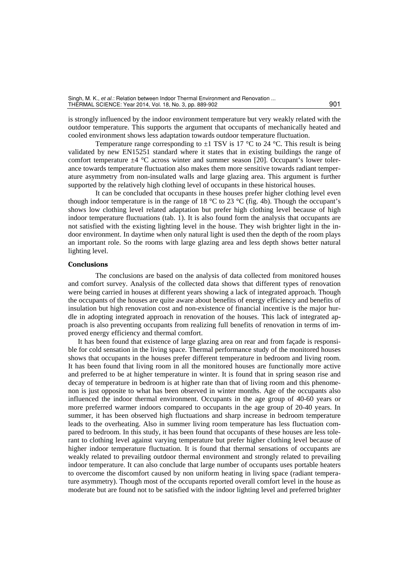is strongly influenced by the indoor environment temperature but very weakly related with the outdoor temperature. This supports the argument that occupants of mechanically heated and cooled environment shows less adaptation towards outdoor temperature fluctuation.

Temperature range corresponding to  $\pm 1$  TSV is 17 °C to 24 °C. This result is being validated by new EN15251 standard where it states that in existing buildings the range of comfort temperature  $\pm 4$  °C across winter and summer season [20]. Occupant's lower tolerance towards temperature fluctuation also makes them more sensitive towards radiant temperature asymmetry from non-insulated walls and large glazing area. This argument is further supported by the relatively high clothing level of occupants in these historical houses.

It can be concluded that occupants in these houses prefer higher clothing level even though indoor temperature is in the range of 18  $\degree$ C to 23  $\degree$ C (fig. 4b). Though the occupant's shows low clothing level related adaptation but prefer high clothing level because of high indoor temperature fluctuations (tab. 1). It is also found form the analysis that occupants are not satisfied with the existing lighting level in the house. They wish brighter light in the indoor environment. In daytime when only natural light is used then the depth of the room plays an important role. So the rooms with large glazing area and less depth shows better natural lighting level.

#### **Conclusions**

The conclusions are based on the analysis of data collected from monitored houses and comfort survey. Analysis of the collected data shows that different types of renovation were being carried in houses at different years showing a lack of integrated approach. Though the occupants of the houses are quite aware about benefits of energy efficiency and benefits of insulation but high renovation cost and non-existence of financial incentive is the major hurdle in adopting integrated approach in renovation of the houses. This lack of integrated approach is also preventing occupants from realizing full benefits of renovation in terms of improved energy efficiency and thermal comfort.

It has been found that existence of large glazing area on rear and from façade is responsible for cold sensation in the living space. Thermal performance study of the monitored houses shows that occupants in the houses prefer different temperature in bedroom and living room. It has been found that living room in all the monitored houses are functionally more active and preferred to be at higher temperature in winter. It is found that in spring season rise and decay of temperature in bedroom is at higher rate than that of living room and this phenomenon is just opposite to what has been observed in winter months. Age of the occupants also influenced the indoor thermal environment. Occupants in the age group of 40-60 years or more preferred warmer indoors compared to occupants in the age group of 20-40 years. In summer, it has been observed high fluctuations and sharp increase in bedroom temperature leads to the overheating. Also in summer living room temperature has less fluctuation compared to bedroom. In this study, it has been found that occupants of these houses are less tolerant to clothing level against varying temperature but prefer higher clothing level because of higher indoor temperature fluctuation. It is found that thermal sensations of occupants are weakly related to prevailing outdoor thermal environment and strongly related to prevailing indoor temperature. It can also conclude that large number of occupants uses portable heaters to overcome the discomfort caused by non uniform heating in living space (radiant temperature asymmetry). Though most of the occupants reported overall comfort level in the house as moderate but are found not to be satisfied with the indoor lighting level and preferred brighter